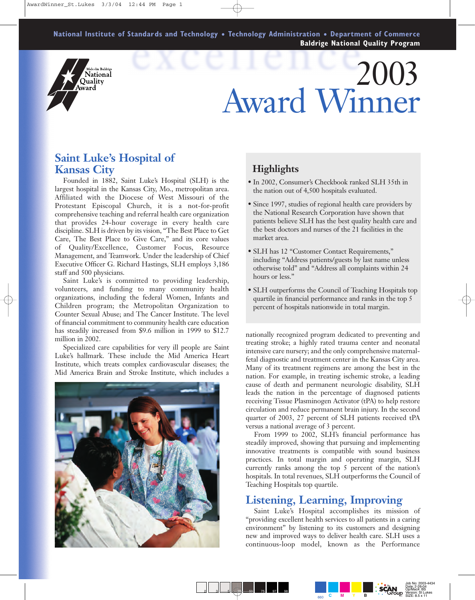**National Institute of Standards and Technology** ● **Technology Administration** ● **Department of Commerce Baldrige National Quality Program**

## .<br>Malcolm Baldrige Vational Quality Award

# 2003 Award Winner

#### **Saint Luke's Hospital of Kansas City**

Founded in 1882, Saint Luke's Hospital (SLH) is the largest hospital in the Kansas City, Mo., metropolitan area. Affiliated with the Diocese of West Missouri of the Protestant Episcopal Church, it is a not-for-profit comprehensive teaching and referral health care organization that provides 24-hour coverage in every health care discipline. SLH is driven by its vision, "The Best Place to Get Care, The Best Place to Give Care," and its core values of Quality/Excellence, Customer Focus, Resource Management, and Teamwork. Under the leadership of Chief Executive Officer G. Richard Hastings, SLH employs 3,186 staff and 500 physicians.

Saint Luke's is committed to providing leadership, volunteers, and funding to many community health organizations, including the federal Women, Infants and Children program; the Metropolitan Organization to Counter Sexual Abuse; and The Cancer Institute. The level of financial commitment to community health care education has steadily increased from \$9.6 million in 1999 to \$12.7 million in 2002.

Specialized care capabilities for very ill people are Saint Luke's hallmark. These include the Mid America Heart Institute, which treats complex cardiovascular diseases; the Mid America Brain and Stroke Institute, which includes a



### **Highlights**

- In 2002, Consumer's Checkbook ranked SLH 35th in the nation out of 4,500 hospitals evaluated.
- Since 1997, studies of regional health care providers by the National Research Corporation have shown that patients believe SLH has the best quality health care and the best doctors and nurses of the 21 facilities in the market area.
- SLH has 12 "Customer Contact Requirements," including "Address patients/guests by last name unless otherwise told" and "Address all complaints within 24 hours or less."
- SLH outperforms the Council of Teaching Hospitals top quartile in financial performance and ranks in the top 5 percent of hospitals nationwide in total margin.

nationally recognized program dedicated to preventing and treating stroke; a highly rated trauma center and neonatal intensive care nursery; and the only comprehensive maternalfetal diagnostic and treatment center in the Kansas City area. Many of its treatment regimens are among the best in the nation. For example, in treating ischemic stroke, a leading cause of death and permanent neurologic disability, SLH leads the nation in the percentage of diagnosed patients receiving Tissue Plasminogen Activator (tPA) to help restore circulation and reduce permanent brain injury. In the second quarter of 2003, 27 percent of SLH patients received tPA versus a national average of 3 percent.

From 1999 to 2002, SLH's financial performance has steadily improved, showing that pursuing and implementing innovative treatments is compatible with sound business practices. In total margin and operating margin, SLH currently ranks among the top 5 percent of the nation's hospitals. In total revenues, SLH outperforms the Council of Teaching Hospitals top quartile.

#### **Listening, Learning, Improving**

Saint Luke's Hospital accomplishes its mission of "providing excellent health services to all patients in a caring environment" by listening to its customers and designing new and improved ways to deliver health care. SLH uses a continuous-loop model, known as the Performance